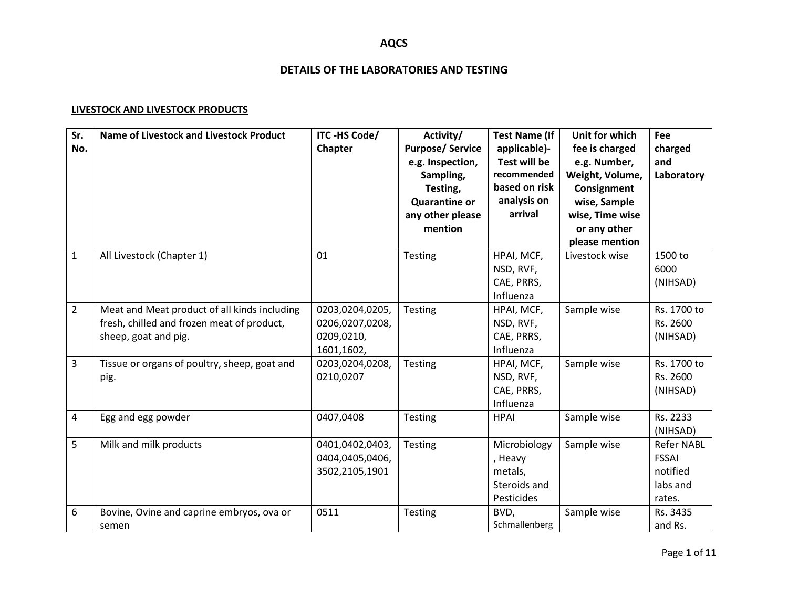### **DETAILS OF THE LABORATORIES AND TESTING**

#### **LIVESTOCK AND LIVESTOCK PRODUCTS**

| Sr.<br>No.     | <b>Name of Livestock and Livestock Product</b>                                                                     | ITC-HS Code/<br>Chapter                                        | Activity/<br><b>Purpose/Service</b><br>e.g. Inspection,<br>Sampling,<br>Testing,<br><b>Quarantine or</b><br>any other please<br>mention | <b>Test Name (If</b><br>applicable)-<br>Test will be<br>recommended<br>based on risk<br>analysis on<br>arrival | Unit for which<br>fee is charged<br>e.g. Number,<br>Weight, Volume,<br>Consignment<br>wise, Sample<br>wise, Time wise<br>or any other<br>please mention | Fee<br>charged<br>and<br>Laboratory                                 |
|----------------|--------------------------------------------------------------------------------------------------------------------|----------------------------------------------------------------|-----------------------------------------------------------------------------------------------------------------------------------------|----------------------------------------------------------------------------------------------------------------|---------------------------------------------------------------------------------------------------------------------------------------------------------|---------------------------------------------------------------------|
| $\mathbf{1}$   | All Livestock (Chapter 1)                                                                                          | 01                                                             | Testing                                                                                                                                 | HPAI, MCF,<br>NSD, RVF,<br>CAE, PRRS,<br>Influenza                                                             | Livestock wise                                                                                                                                          | 1500 to<br>6000<br>(NIHSAD)                                         |
| $\overline{2}$ | Meat and Meat product of all kinds including<br>fresh, chilled and frozen meat of product,<br>sheep, goat and pig. | 0203,0204,0205,<br>0206,0207,0208,<br>0209,0210,<br>1601,1602, | <b>Testing</b>                                                                                                                          | HPAI, MCF,<br>NSD, RVF,<br>CAE, PRRS,<br>Influenza                                                             | Sample wise                                                                                                                                             | Rs. 1700 to<br>Rs. 2600<br>(NIHSAD)                                 |
| 3              | Tissue or organs of poultry, sheep, goat and<br>pig.                                                               | 0203,0204,0208,<br>0210,0207                                   | Testing                                                                                                                                 | HPAI, MCF,<br>NSD, RVF,<br>CAE, PRRS,<br>Influenza                                                             | Sample wise                                                                                                                                             | Rs. 1700 to<br>Rs. 2600<br>(NIHSAD)                                 |
| 4              | Egg and egg powder                                                                                                 | 0407,0408                                                      | Testing                                                                                                                                 | <b>HPAI</b>                                                                                                    | Sample wise                                                                                                                                             | Rs. 2233<br>(NIHSAD)                                                |
| 5              | Milk and milk products                                                                                             | 0401,0402,0403,<br>0404,0405,0406,<br>3502,2105,1901           | Testing                                                                                                                                 | Microbiology<br>, Heavy<br>metals,<br>Steroids and<br>Pesticides                                               | Sample wise                                                                                                                                             | <b>Refer NABL</b><br><b>FSSAI</b><br>notified<br>labs and<br>rates. |
| 6              | Bovine, Ovine and caprine embryos, ova or<br>semen                                                                 | 0511                                                           | <b>Testing</b>                                                                                                                          | BVD,<br>Schmallenberg                                                                                          | Sample wise                                                                                                                                             | Rs. 3435<br>and Rs.                                                 |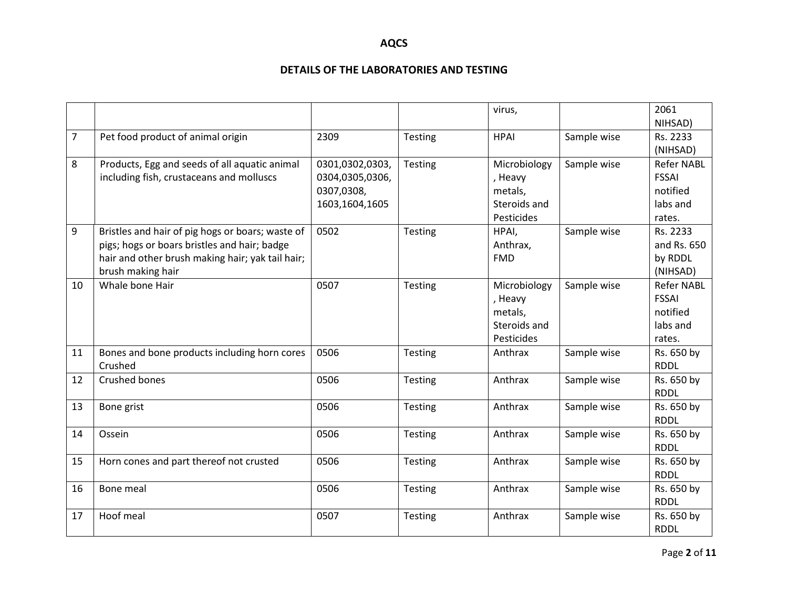|    |                                                                                                                                                                           |                                                                    |                | virus,                                                           |             | 2061<br>NIHSAD)                                                     |
|----|---------------------------------------------------------------------------------------------------------------------------------------------------------------------------|--------------------------------------------------------------------|----------------|------------------------------------------------------------------|-------------|---------------------------------------------------------------------|
| 7  | Pet food product of animal origin                                                                                                                                         | 2309                                                               | <b>Testing</b> | <b>HPAI</b>                                                      | Sample wise | Rs. 2233<br>(NIHSAD)                                                |
| 8  | Products, Egg and seeds of all aquatic animal<br>including fish, crustaceans and molluscs                                                                                 | 0301,0302,0303,<br>0304,0305,0306,<br>0307,0308,<br>1603,1604,1605 | Testing        | Microbiology<br>, Heavy<br>metals,<br>Steroids and<br>Pesticides | Sample wise | <b>Refer NABL</b><br><b>FSSAI</b><br>notified<br>labs and<br>rates. |
| 9  | Bristles and hair of pig hogs or boars; waste of<br>pigs; hogs or boars bristles and hair; badge<br>hair and other brush making hair; yak tail hair;<br>brush making hair | 0502                                                               | Testing        | HPAI,<br>Anthrax,<br><b>FMD</b>                                  | Sample wise | Rs. 2233<br>and Rs. 650<br>by RDDL<br>(NIHSAD)                      |
| 10 | Whale bone Hair                                                                                                                                                           | 0507                                                               | Testing        | Microbiology<br>, Heavy<br>metals,<br>Steroids and<br>Pesticides | Sample wise | <b>Refer NABL</b><br><b>FSSAI</b><br>notified<br>labs and<br>rates. |
| 11 | Bones and bone products including horn cores<br>Crushed                                                                                                                   | 0506                                                               | <b>Testing</b> | Anthrax                                                          | Sample wise | Rs. 650 by<br><b>RDDL</b>                                           |
| 12 | Crushed bones                                                                                                                                                             | 0506                                                               | Testing        | Anthrax                                                          | Sample wise | Rs. 650 by<br><b>RDDL</b>                                           |
| 13 | Bone grist                                                                                                                                                                | 0506                                                               | Testing        | Anthrax                                                          | Sample wise | Rs. 650 by<br><b>RDDL</b>                                           |
| 14 | Ossein                                                                                                                                                                    | 0506                                                               | <b>Testing</b> | Anthrax                                                          | Sample wise | Rs. 650 by<br><b>RDDL</b>                                           |
| 15 | Horn cones and part thereof not crusted                                                                                                                                   | 0506                                                               | <b>Testing</b> | Anthrax                                                          | Sample wise | Rs. 650 by<br><b>RDDL</b>                                           |
| 16 | Bone meal                                                                                                                                                                 | 0506                                                               | Testing        | Anthrax                                                          | Sample wise | Rs. 650 by<br><b>RDDL</b>                                           |
| 17 | Hoof meal                                                                                                                                                                 | 0507                                                               | Testing        | Anthrax                                                          | Sample wise | Rs. 650 by<br><b>RDDL</b>                                           |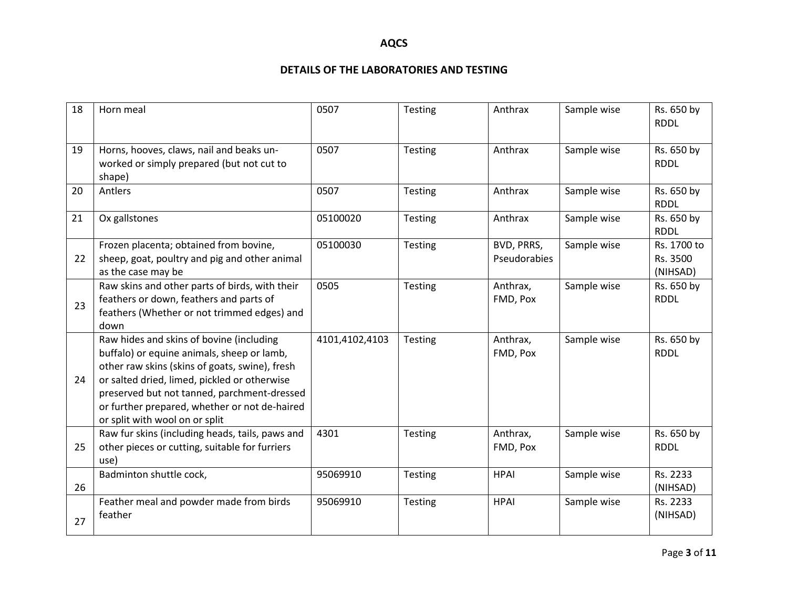| 18 | Horn meal                                                                                                                                                                                                                                                                                                                  | 0507           | Testing        | Anthrax                    | Sample wise | Rs. 650 by<br><b>RDDL</b>           |
|----|----------------------------------------------------------------------------------------------------------------------------------------------------------------------------------------------------------------------------------------------------------------------------------------------------------------------------|----------------|----------------|----------------------------|-------------|-------------------------------------|
| 19 | Horns, hooves, claws, nail and beaks un-<br>worked or simply prepared (but not cut to<br>shape)                                                                                                                                                                                                                            | 0507           | Testing        | Anthrax                    | Sample wise | Rs. 650 by<br><b>RDDL</b>           |
| 20 | Antlers                                                                                                                                                                                                                                                                                                                    | 0507           | Testing        | Anthrax                    | Sample wise | Rs. 650 by<br><b>RDDL</b>           |
| 21 | Ox gallstones                                                                                                                                                                                                                                                                                                              | 05100020       | <b>Testing</b> | Anthrax                    | Sample wise | Rs. 650 by<br><b>RDDL</b>           |
| 22 | Frozen placenta; obtained from bovine,<br>sheep, goat, poultry and pig and other animal<br>as the case may be                                                                                                                                                                                                              | 05100030       | Testing        | BVD, PRRS,<br>Pseudorabies | Sample wise | Rs. 1700 to<br>Rs. 3500<br>(NIHSAD) |
| 23 | Raw skins and other parts of birds, with their<br>feathers or down, feathers and parts of<br>feathers (Whether or not trimmed edges) and<br>down                                                                                                                                                                           | 0505           | Testing        | Anthrax,<br>FMD, Pox       | Sample wise | Rs. 650 by<br><b>RDDL</b>           |
| 24 | Raw hides and skins of bovine (including<br>buffalo) or equine animals, sheep or lamb,<br>other raw skins (skins of goats, swine), fresh<br>or salted dried, limed, pickled or otherwise<br>preserved but not tanned, parchment-dressed<br>or further prepared, whether or not de-haired<br>or split with wool on or split | 4101,4102,4103 | <b>Testing</b> | Anthrax,<br>FMD, Pox       | Sample wise | Rs. 650 by<br><b>RDDL</b>           |
| 25 | Raw fur skins (including heads, tails, paws and<br>other pieces or cutting, suitable for furriers<br>use)                                                                                                                                                                                                                  | 4301           | Testing        | Anthrax,<br>FMD, Pox       | Sample wise | Rs. 650 by<br><b>RDDL</b>           |
| 26 | Badminton shuttle cock,                                                                                                                                                                                                                                                                                                    | 95069910       | Testing        | <b>HPAI</b>                | Sample wise | Rs. 2233<br>(NIHSAD)                |
| 27 | Feather meal and powder made from birds<br>feather                                                                                                                                                                                                                                                                         | 95069910       | Testing        | <b>HPAI</b>                | Sample wise | Rs. 2233<br>(NIHSAD)                |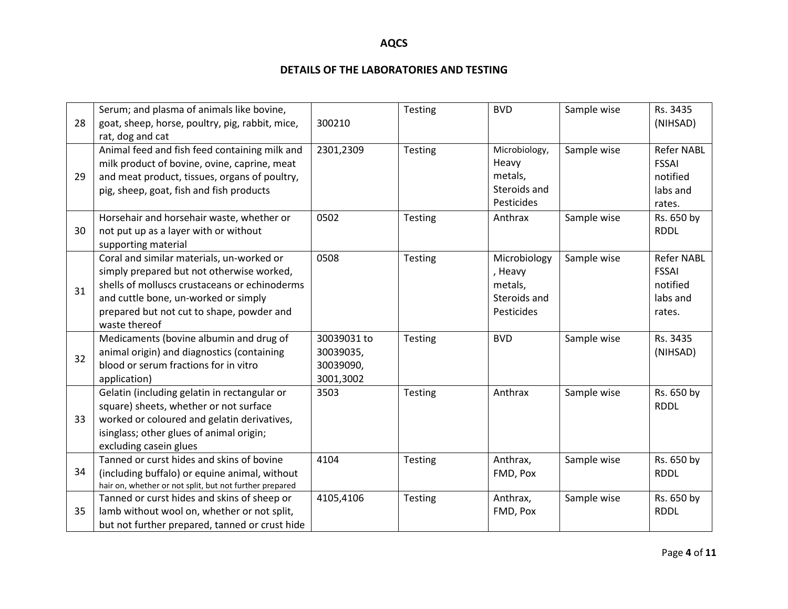| 28 | Serum; and plasma of animals like bovine,<br>goat, sheep, horse, poultry, pig, rabbit, mice,<br>rat, dog and cat                                                                                                                              | 300210                                             | Testing        | <b>BVD</b>                                                       | Sample wise | Rs. 3435<br>(NIHSAD)                                                |
|----|-----------------------------------------------------------------------------------------------------------------------------------------------------------------------------------------------------------------------------------------------|----------------------------------------------------|----------------|------------------------------------------------------------------|-------------|---------------------------------------------------------------------|
| 29 | Animal feed and fish feed containing milk and<br>milk product of bovine, ovine, caprine, meat<br>and meat product, tissues, organs of poultry,<br>pig, sheep, goat, fish and fish products                                                    | 2301,2309                                          | Testing        | Microbiology,<br>Heavy<br>metals,<br>Steroids and<br>Pesticides  | Sample wise | <b>Refer NABL</b><br><b>FSSAI</b><br>notified<br>labs and<br>rates. |
| 30 | Horsehair and horsehair waste, whether or<br>not put up as a layer with or without<br>supporting material                                                                                                                                     | 0502                                               | <b>Testing</b> | Anthrax                                                          | Sample wise | Rs. 650 by<br><b>RDDL</b>                                           |
| 31 | Coral and similar materials, un-worked or<br>simply prepared but not otherwise worked,<br>shells of molluscs crustaceans or echinoderms<br>and cuttle bone, un-worked or simply<br>prepared but not cut to shape, powder and<br>waste thereof | 0508                                               | Testing        | Microbiology<br>, Heavy<br>metals,<br>Steroids and<br>Pesticides | Sample wise | <b>Refer NABL</b><br><b>FSSAI</b><br>notified<br>labs and<br>rates. |
| 32 | Medicaments (bovine albumin and drug of<br>animal origin) and diagnostics (containing<br>blood or serum fractions for in vitro<br>application)                                                                                                | 30039031 to<br>30039035,<br>30039090,<br>3001,3002 | Testing        | <b>BVD</b>                                                       | Sample wise | Rs. 3435<br>(NIHSAD)                                                |
| 33 | Gelatin (including gelatin in rectangular or<br>square) sheets, whether or not surface<br>worked or coloured and gelatin derivatives,<br>isinglass; other glues of animal origin;<br>excluding casein glues                                   | 3503                                               | Testing        | Anthrax                                                          | Sample wise | Rs. 650 by<br><b>RDDL</b>                                           |
| 34 | Tanned or curst hides and skins of bovine<br>(including buffalo) or equine animal, without<br>hair on, whether or not split, but not further prepared                                                                                         | 4104                                               | <b>Testing</b> | Anthrax,<br>FMD, Pox                                             | Sample wise | Rs. 650 by<br><b>RDDL</b>                                           |
| 35 | Tanned or curst hides and skins of sheep or<br>lamb without wool on, whether or not split,<br>but not further prepared, tanned or crust hide                                                                                                  | 4105,4106                                          | Testing        | Anthrax,<br>FMD, Pox                                             | Sample wise | Rs. 650 by<br><b>RDDL</b>                                           |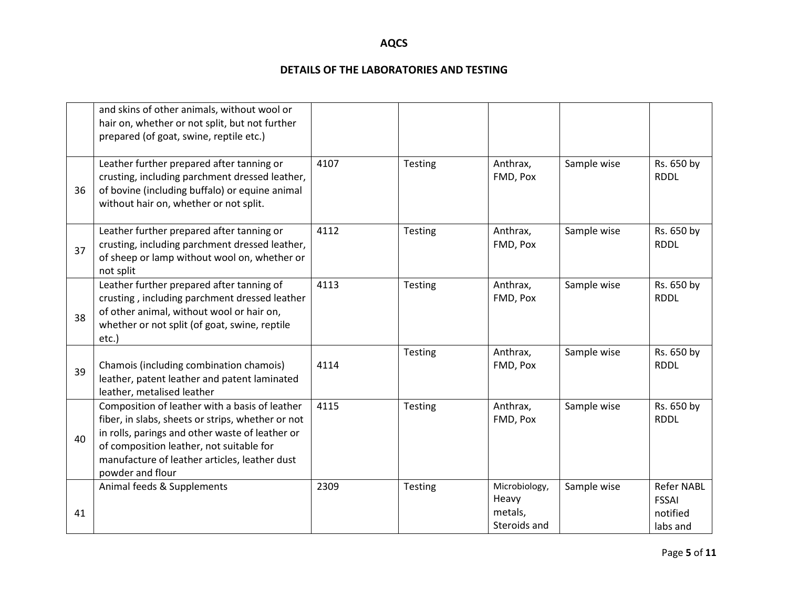|    | and skins of other animals, without wool or<br>hair on, whether or not split, but not further<br>prepared (of goat, swine, reptile etc.)                                                                                                                                |      |         |                                                   |             |                                                           |
|----|-------------------------------------------------------------------------------------------------------------------------------------------------------------------------------------------------------------------------------------------------------------------------|------|---------|---------------------------------------------------|-------------|-----------------------------------------------------------|
| 36 | Leather further prepared after tanning or<br>crusting, including parchment dressed leather,<br>of bovine (including buffalo) or equine animal<br>without hair on, whether or not split.                                                                                 | 4107 | Testing | Anthrax,<br>FMD, Pox                              | Sample wise | Rs. 650 by<br><b>RDDL</b>                                 |
| 37 | Leather further prepared after tanning or<br>crusting, including parchment dressed leather,<br>of sheep or lamp without wool on, whether or<br>not split                                                                                                                | 4112 | Testing | Anthrax,<br>FMD, Pox                              | Sample wise | Rs. 650 by<br><b>RDDL</b>                                 |
| 38 | Leather further prepared after tanning of<br>crusting, including parchment dressed leather<br>of other animal, without wool or hair on,<br>whether or not split (of goat, swine, reptile<br>etc.)                                                                       | 4113 | Testing | Anthrax,<br>FMD, Pox                              | Sample wise | Rs. 650 by<br><b>RDDL</b>                                 |
| 39 | Chamois (including combination chamois)<br>leather, patent leather and patent laminated<br>leather, metalised leather                                                                                                                                                   | 4114 | Testing | Anthrax,<br>FMD, Pox                              | Sample wise | Rs. 650 by<br><b>RDDL</b>                                 |
| 40 | Composition of leather with a basis of leather<br>fiber, in slabs, sheets or strips, whether or not<br>in rolls, parings and other waste of leather or<br>of composition leather, not suitable for<br>manufacture of leather articles, leather dust<br>powder and flour | 4115 | Testing | Anthrax,<br>FMD, Pox                              | Sample wise | Rs. 650 by<br><b>RDDL</b>                                 |
| 41 | Animal feeds & Supplements                                                                                                                                                                                                                                              | 2309 | Testing | Microbiology,<br>Heavy<br>metals,<br>Steroids and | Sample wise | <b>Refer NABL</b><br><b>FSSAI</b><br>notified<br>labs and |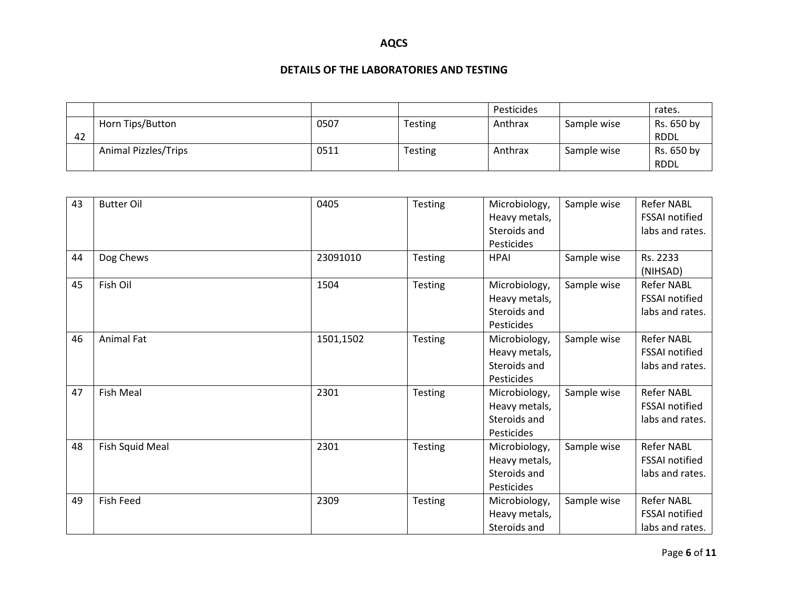|    |                             |      |                | Pesticides |             | rates.      |
|----|-----------------------------|------|----------------|------------|-------------|-------------|
|    | Horn Tips/Button            | 0507 | <b>Testing</b> | Anthrax    | Sample wise | Rs. 650 by  |
| 42 |                             |      |                |            |             | <b>RDDL</b> |
|    | <b>Animal Pizzles/Trips</b> | 0511 | <b>Testing</b> | Anthrax    | Sample wise | Rs. 650 by  |
|    |                             |      |                |            |             | <b>RDDL</b> |

| 43 | <b>Butter Oil</b> | 0405      | Testing        | Microbiology,<br>Heavy metals, | Sample wise | <b>Refer NABL</b><br><b>FSSAI</b> notified |
|----|-------------------|-----------|----------------|--------------------------------|-------------|--------------------------------------------|
|    |                   |           |                | Steroids and                   |             | labs and rates.                            |
|    |                   |           |                | Pesticides                     |             |                                            |
| 44 | Dog Chews         | 23091010  | <b>Testing</b> | <b>HPAI</b>                    | Sample wise | Rs. 2233                                   |
|    |                   |           |                |                                |             | (NIHSAD)                                   |
| 45 | Fish Oil          | 1504      | <b>Testing</b> | Microbiology,                  | Sample wise | <b>Refer NABL</b>                          |
|    |                   |           |                | Heavy metals,                  |             | <b>FSSAI</b> notified                      |
|    |                   |           |                | Steroids and                   |             | labs and rates.                            |
|    |                   |           |                | Pesticides                     |             |                                            |
| 46 | <b>Animal Fat</b> | 1501,1502 | Testing        | Microbiology,                  | Sample wise | <b>Refer NABL</b>                          |
|    |                   |           |                | Heavy metals,                  |             | <b>FSSAI</b> notified                      |
|    |                   |           |                | Steroids and                   |             | labs and rates.                            |
|    |                   |           |                | Pesticides                     |             |                                            |
| 47 | <b>Fish Meal</b>  | 2301      | Testing        | Microbiology,                  | Sample wise | <b>Refer NABL</b>                          |
|    |                   |           |                | Heavy metals,                  |             | <b>FSSAI</b> notified                      |
|    |                   |           |                | Steroids and                   |             | labs and rates.                            |
|    |                   |           |                | Pesticides                     |             |                                            |
| 48 | Fish Squid Meal   | 2301      | <b>Testing</b> | Microbiology,                  | Sample wise | <b>Refer NABL</b>                          |
|    |                   |           |                | Heavy metals,                  |             | <b>FSSAI</b> notified                      |
|    |                   |           |                | Steroids and                   |             | labs and rates.                            |
|    |                   |           |                | Pesticides                     |             |                                            |
| 49 | Fish Feed         | 2309      | Testing        | Microbiology,                  | Sample wise | <b>Refer NABL</b>                          |
|    |                   |           |                | Heavy metals,                  |             | FSSAI notified                             |
|    |                   |           |                | Steroids and                   |             | labs and rates.                            |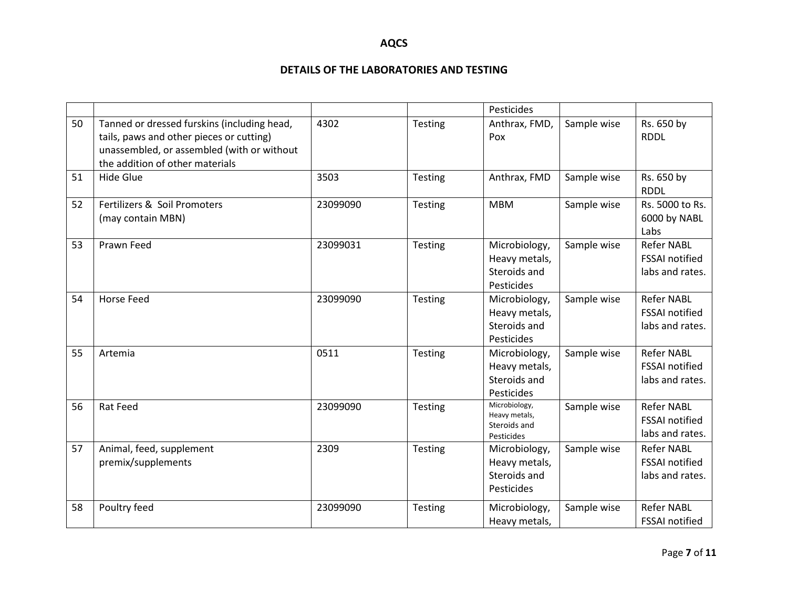|    |                                                                                                                                                                          |          |                | Pesticides                                                   |             |                                                               |
|----|--------------------------------------------------------------------------------------------------------------------------------------------------------------------------|----------|----------------|--------------------------------------------------------------|-------------|---------------------------------------------------------------|
| 50 | Tanned or dressed furskins (including head,<br>tails, paws and other pieces or cutting)<br>unassembled, or assembled (with or without<br>the addition of other materials | 4302     | Testing        | Anthrax, FMD,<br>Pox                                         | Sample wise | Rs. 650 by<br><b>RDDL</b>                                     |
| 51 | <b>Hide Glue</b>                                                                                                                                                         | 3503     | Testing        | Anthrax, FMD                                                 | Sample wise | Rs. 650 by<br><b>RDDL</b>                                     |
| 52 | Fertilizers & Soil Promoters<br>(may contain MBN)                                                                                                                        | 23099090 | <b>Testing</b> | <b>MBM</b>                                                   | Sample wise | Rs. 5000 to Rs.<br>6000 by NABL<br>Labs                       |
| 53 | Prawn Feed                                                                                                                                                               | 23099031 | <b>Testing</b> | Microbiology,<br>Heavy metals,<br>Steroids and<br>Pesticides | Sample wise | <b>Refer NABL</b><br><b>FSSAI</b> notified<br>labs and rates. |
| 54 | Horse Feed                                                                                                                                                               | 23099090 | Testing        | Microbiology,<br>Heavy metals,<br>Steroids and<br>Pesticides | Sample wise | Refer NABL<br><b>FSSAI</b> notified<br>labs and rates.        |
| 55 | Artemia                                                                                                                                                                  | 0511     | <b>Testing</b> | Microbiology,<br>Heavy metals,<br>Steroids and<br>Pesticides | Sample wise | <b>Refer NABL</b><br><b>FSSAI</b> notified<br>labs and rates. |
| 56 | <b>Rat Feed</b>                                                                                                                                                          | 23099090 | Testing        | Microbiology,<br>Heavy metals,<br>Steroids and<br>Pesticides | Sample wise | <b>Refer NABL</b><br><b>FSSAI</b> notified<br>labs and rates. |
| 57 | Animal, feed, supplement<br>premix/supplements                                                                                                                           | 2309     | <b>Testing</b> | Microbiology,<br>Heavy metals,<br>Steroids and<br>Pesticides | Sample wise | <b>Refer NABL</b><br><b>FSSAI notified</b><br>labs and rates. |
| 58 | Poultry feed                                                                                                                                                             | 23099090 | Testing        | Microbiology,<br>Heavy metals,                               | Sample wise | <b>Refer NABL</b><br>FSSAI notified                           |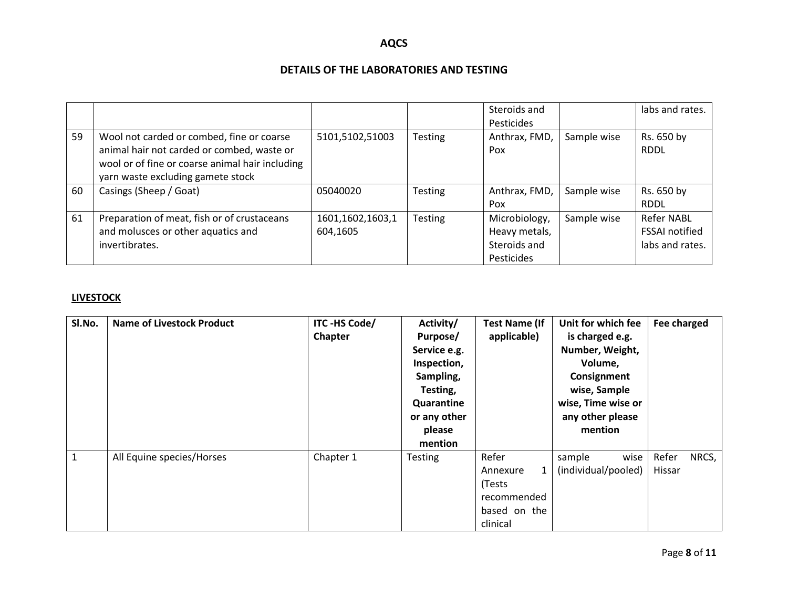### **DETAILS OF THE LABORATORIES AND TESTING**

|    |                                                                                                                                                                                 |                              |                | Steroids and<br>Pesticides                                   |             | labs and rates.                                               |
|----|---------------------------------------------------------------------------------------------------------------------------------------------------------------------------------|------------------------------|----------------|--------------------------------------------------------------|-------------|---------------------------------------------------------------|
| 59 | Wool not carded or combed, fine or coarse<br>animal hair not carded or combed, waste or<br>wool or of fine or coarse animal hair including<br>yarn waste excluding gamete stock | 5101,5102,51003              | <b>Testing</b> | Anthrax, FMD,<br>Pox                                         | Sample wise | Rs. 650 by<br><b>RDDL</b>                                     |
| 60 | Casings (Sheep / Goat)                                                                                                                                                          | 05040020                     | <b>Testing</b> | Anthrax, FMD,<br>Pox                                         | Sample wise | Rs. 650 by<br><b>RDDL</b>                                     |
| 61 | Preparation of meat, fish or of crustaceans<br>and molusces or other aquatics and<br>invertibrates.                                                                             | 1601,1602,1603,1<br>604,1605 | <b>Testing</b> | Microbiology,<br>Heavy metals,<br>Steroids and<br>Pesticides | Sample wise | <b>Refer NABL</b><br><b>FSSAI notified</b><br>labs and rates. |

#### **LIVESTOCK**

| SI.No.       | <b>Name of Livestock Product</b> | ITC-HS Code/<br>Chapter | Activity/<br>Purpose/<br>Service e.g.<br>Inspection,<br>Sampling,<br>Testing,<br>Quarantine<br>or any other<br>please<br>mention | <b>Test Name (If</b><br>applicable)                                         | Unit for which fee<br>is charged e.g.<br>Number, Weight,<br>Volume,<br>Consignment<br>wise, Sample<br>wise, Time wise or<br>any other please<br>mention | Fee charged              |
|--------------|----------------------------------|-------------------------|----------------------------------------------------------------------------------------------------------------------------------|-----------------------------------------------------------------------------|---------------------------------------------------------------------------------------------------------------------------------------------------------|--------------------------|
| $\mathbf{1}$ | All Equine species/Horses        | Chapter 1               | <b>Testing</b>                                                                                                                   | Refer<br>1<br>Annexure<br>(Tests<br>recommended<br>based on the<br>clinical | wise<br>sample<br>(individual/pooled)                                                                                                                   | Refer<br>NRCS,<br>Hissar |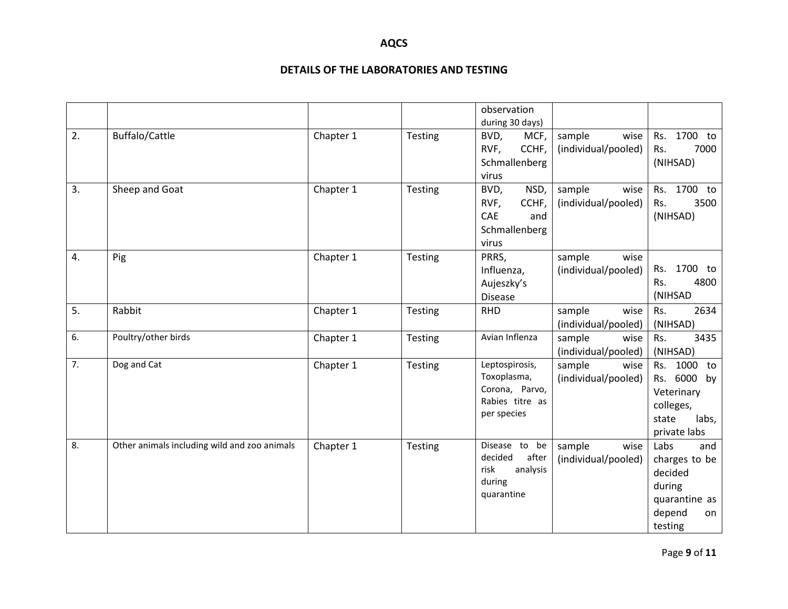|    |                                              |           |                | observation      |                     |                |
|----|----------------------------------------------|-----------|----------------|------------------|---------------------|----------------|
|    |                                              |           |                | during 30 days)  |                     |                |
| 2. | Buffalo/Cattle                               | Chapter 1 | Testing        | MCF,<br>BVD,     | sample<br>wise      | 1700 to<br>Rs. |
|    |                                              |           |                | CCHF,<br>RVF,    | (individual/pooled) | 7000<br>Rs.    |
|    |                                              |           |                | Schmallenberg    |                     | (NIHSAD)       |
|    |                                              |           |                | virus            |                     |                |
| 3. | Sheep and Goat                               | Chapter 1 | Testing        | BVD,<br>NSD,     | sample<br>wise      | Rs. 1700 to    |
|    |                                              |           |                | CCHF,<br>RVF,    | (individual/pooled) | 3500<br>Rs.    |
|    |                                              |           |                | CAE<br>and       |                     | (NIHSAD)       |
|    |                                              |           |                | Schmallenberg    |                     |                |
|    |                                              |           |                | virus            |                     |                |
| 4. | Pig                                          | Chapter 1 | <b>Testing</b> | PRRS,            | sample<br>wise      |                |
|    |                                              |           |                | Influenza,       | (individual/pooled) | 1700 to<br>Rs. |
|    |                                              |           |                | Aujeszky's       |                     | 4800<br>Rs.    |
|    |                                              |           |                | <b>Disease</b>   |                     | (NIHSAD        |
| 5. | Rabbit                                       | Chapter 1 | <b>Testing</b> | <b>RHD</b>       | sample<br>wise      | Rs.<br>2634    |
|    |                                              |           |                |                  | (individual/pooled) | (NIHSAD)       |
| 6. | Poultry/other birds                          | Chapter 1 | <b>Testing</b> | Avian Inflenza   | sample<br>wise      | 3435<br>Rs.    |
|    |                                              |           |                |                  | (individual/pooled) | (NIHSAD)       |
| 7. | Dog and Cat                                  | Chapter 1 | Testing        | Leptospirosis,   | sample<br>wise      | Rs. 1000 to    |
|    |                                              |           |                | Toxoplasma,      | (individual/pooled) | Rs. 6000 by    |
|    |                                              |           |                | Corona, Parvo,   |                     | Veterinary     |
|    |                                              |           |                | Rabies titre as  |                     | colleges,      |
|    |                                              |           |                | per species      |                     | state<br>labs, |
|    |                                              |           |                |                  |                     | private labs   |
| 8. | Other animals including wild and zoo animals | Chapter 1 | Testing        | Disease to<br>be | sample<br>wise      | Labs<br>and    |
|    |                                              |           |                | decided<br>after | (individual/pooled) | charges to be  |
|    |                                              |           |                | analysis<br>risk |                     | decided        |
|    |                                              |           |                | during           |                     | during         |
|    |                                              |           |                | quarantine       |                     | quarantine as  |
|    |                                              |           |                |                  |                     | depend<br>on   |
|    |                                              |           |                |                  |                     | testing        |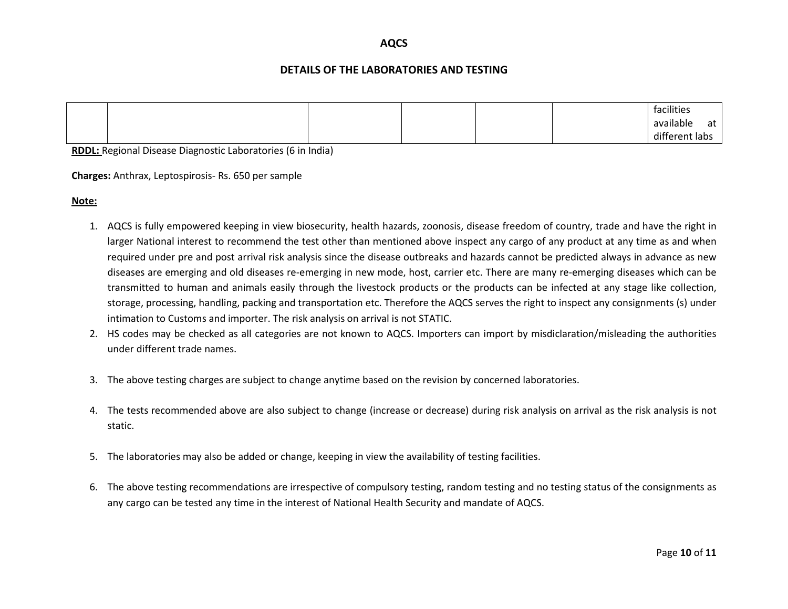#### **DETAILS OF THE LABORATORIES AND TESTING**

|  |  |  | facilities          |
|--|--|--|---------------------|
|  |  |  | available<br>at     |
|  |  |  | different<br>: labs |

**RDDL:** Regional Disease Diagnostic Laboratories (6 in India)

**Charges:** Anthrax, Leptospirosis- Rs. 650 per sample

**Note:**

- 1. AQCS is fully empowered keeping in view biosecurity, health hazards, zoonosis, disease freedom of country, trade and have the right in larger National interest to recommend the test other than mentioned above inspect any cargo of any product at any time as and when required under pre and post arrival risk analysis since the disease outbreaks and hazards cannot be predicted always in advance as new diseases are emerging and old diseases re-emerging in new mode, host, carrier etc. There are many re-emerging diseases which can be transmitted to human and animals easily through the livestock products or the products can be infected at any stage like collection, storage, processing, handling, packing and transportation etc. Therefore the AQCS serves the right to inspect any consignments (s) under intimation to Customs and importer. The risk analysis on arrival is not STATIC.
- 2. HS codes may be checked as all categories are not known to AQCS. Importers can import by misdiclaration/misleading the authorities under different trade names.
- 3. The above testing charges are subject to change anytime based on the revision by concerned laboratories.
- 4. The tests recommended above are also subject to change (increase or decrease) during risk analysis on arrival as the risk analysis is not static.
- 5. The laboratories may also be added or change, keeping in view the availability of testing facilities.
- 6. The above testing recommendations are irrespective of compulsory testing, random testing and no testing status of the consignments as any cargo can be tested any time in the interest of National Health Security and mandate of AQCS.